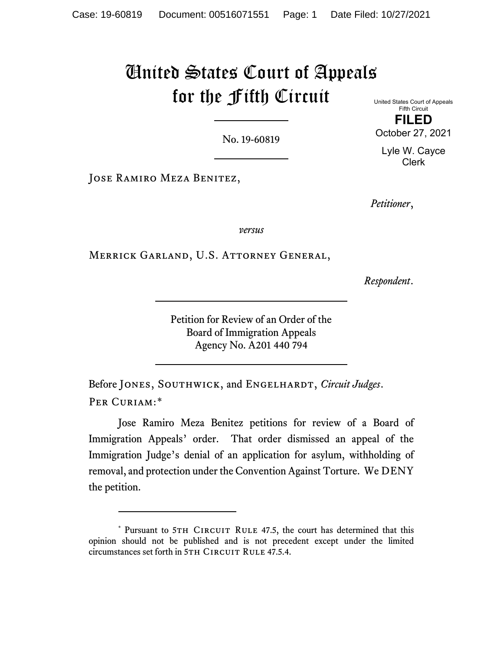# United States Court of Appeals for the Fifth Circuit

No. 19-60819

United States Court of Appeals Fifth Circuit **FILED**

October 27, 2021

Lyle W. Cayce Clerk

Jose Ramiro Meza Benitez,

*Petitioner*,

*versus*

Merrick Garland, U.S. Attorney General,

*Respondent*.

Petition for Review of an Order of the Board of Immigration Appeals Agency No. A201 440 794

Before JONES, SOUTHWICK, and ENGELHARDT, *Circuit Judges*. PER CURIAM:[\\*](#page-0-0)

Jose Ramiro Meza Benitez petitions for review of a Board of Immigration Appeals' order. That order dismissed an appeal of the Immigration Judge's denial of an application for asylum, withholding of removal, and protection under the Convention Against Torture. We DENY the petition.

<span id="page-0-0"></span><sup>\*</sup> Pursuant to 5TH CIRCUIT RULE 47.5, the court has determined that this opinion should not be published and is not precedent except under the limited circumstances set forth in 5TH CIRCUIT RULE 47.5.4.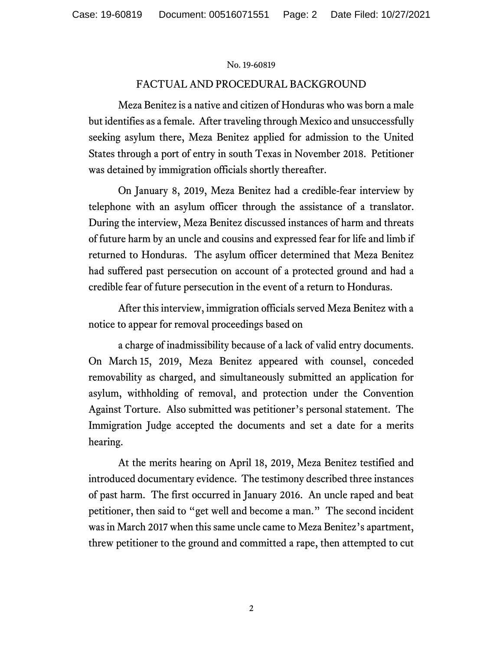# FACTUAL AND PROCEDURAL BACKGROUND

Meza Benitez is a native and citizen of Honduras who was born a male but identifies as a female. After traveling through Mexico and unsuccessfully seeking asylum there, Meza Benitez applied for admission to the United States through a port of entry in south Texas in November 2018. Petitioner was detained by immigration officials shortly thereafter.

On January 8, 2019, Meza Benitez had a credible-fear interview by telephone with an asylum officer through the assistance of a translator. During the interview, Meza Benitez discussed instances of harm and threats of future harm by an uncle and cousins and expressed fear for life and limb if returned to Honduras. The asylum officer determined that Meza Benitez had suffered past persecution on account of a protected ground and had a credible fear of future persecution in the event of a return to Honduras.

After this interview, immigration officials served Meza Benitez with a notice to appear for removal proceedings based on

a charge of inadmissibility because of a lack of valid entry documents. On March 15, 2019, Meza Benitez appeared with counsel, conceded removability as charged, and simultaneously submitted an application for asylum, withholding of removal, and protection under the Convention Against Torture. Also submitted was petitioner's personal statement. The Immigration Judge accepted the documents and set a date for a merits hearing.

At the merits hearing on April 18, 2019, Meza Benitez testified and introduced documentary evidence. The testimony described three instances of past harm. The first occurred in January 2016. An uncle raped and beat petitioner, then said to "get well and become a man." The second incident was in March 2017 when this same uncle came to Meza Benitez's apartment, threw petitioner to the ground and committed a rape, then attempted to cut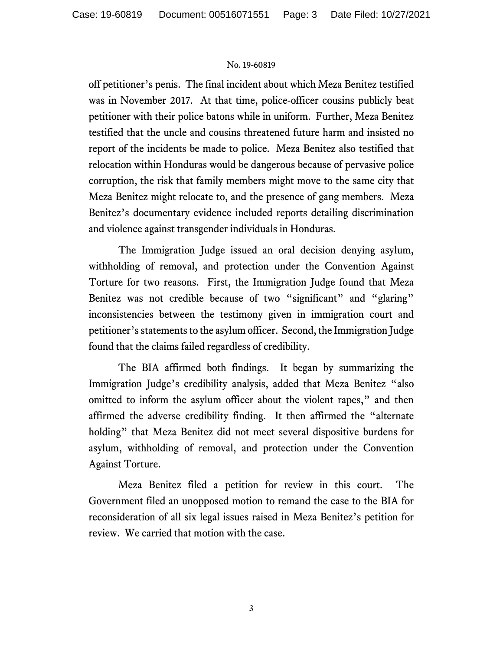off petitioner's penis. The final incident about which Meza Benitez testified was in November 2017. At that time, police-officer cousins publicly beat petitioner with their police batons while in uniform. Further, Meza Benitez testified that the uncle and cousins threatened future harm and insisted no report of the incidents be made to police. Meza Benitez also testified that relocation within Honduras would be dangerous because of pervasive police corruption, the risk that family members might move to the same city that Meza Benitez might relocate to, and the presence of gang members. Meza Benitez's documentary evidence included reports detailing discrimination and violence against transgender individuals in Honduras.

The Immigration Judge issued an oral decision denying asylum, withholding of removal, and protection under the Convention Against Torture for two reasons. First, the Immigration Judge found that Meza Benitez was not credible because of two "significant" and "glaring" inconsistencies between the testimony given in immigration court and petitioner's statements to the asylum officer. Second, the Immigration Judge found that the claims failed regardless of credibility.

The BIA affirmed both findings. It began by summarizing the Immigration Judge's credibility analysis, added that Meza Benitez "also omitted to inform the asylum officer about the violent rapes," and then affirmed the adverse credibility finding. It then affirmed the "alternate holding" that Meza Benitez did not meet several dispositive burdens for asylum, withholding of removal, and protection under the Convention Against Torture.

Meza Benitez filed a petition for review in this court. The Government filed an unopposed motion to remand the case to the BIA for reconsideration of all six legal issues raised in Meza Benitez's petition for review. We carried that motion with the case.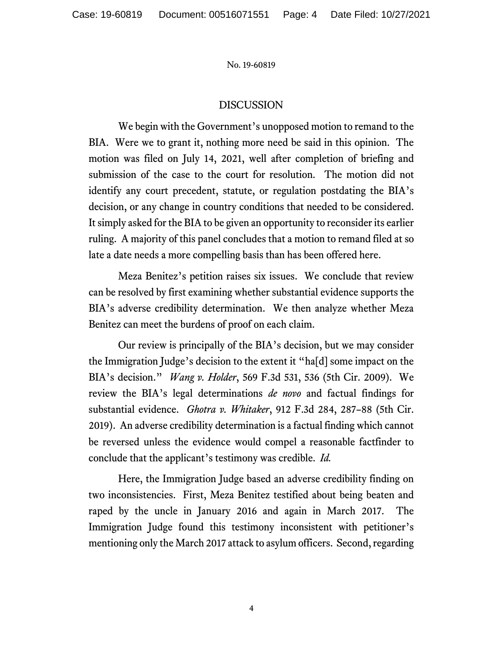## DISCUSSION

We begin with the Government's unopposed motion to remand to the BIA. Were we to grant it, nothing more need be said in this opinion. The motion was filed on July 14, 2021, well after completion of briefing and submission of the case to the court for resolution. The motion did not identify any court precedent, statute, or regulation postdating the BIA's decision, or any change in country conditions that needed to be considered. It simply asked for the BIA to be given an opportunity to reconsider its earlier ruling. A majority of this panel concludes that a motion to remand filed at so late a date needs a more compelling basis than has been offered here.

Meza Benitez's petition raises six issues. We conclude that review can be resolved by first examining whether substantial evidence supports the BIA's adverse credibility determination. We then analyze whether Meza Benitez can meet the burdens of proof on each claim.

Our review is principally of the BIA's decision, but we may consider the Immigration Judge's decision to the extent it "ha[d] some impact on the BIA's decision." *Wang v. Holder*, 569 F.3d 531, 536 (5th Cir. 2009). We review the BIA's legal determinations *de novo* and factual findings for substantial evidence. *Ghotra v. Whitaker*, 912 F.3d 284, 287–88 (5th Cir. 2019). An adverse credibility determination is a factual finding which cannot be reversed unless the evidence would compel a reasonable factfinder to conclude that the applicant's testimony was credible. *Id.*

Here, the Immigration Judge based an adverse credibility finding on two inconsistencies. First, Meza Benitez testified about being beaten and raped by the uncle in January 2016 and again in March 2017. The Immigration Judge found this testimony inconsistent with petitioner's mentioning only the March 2017 attack to asylum officers. Second, regarding

4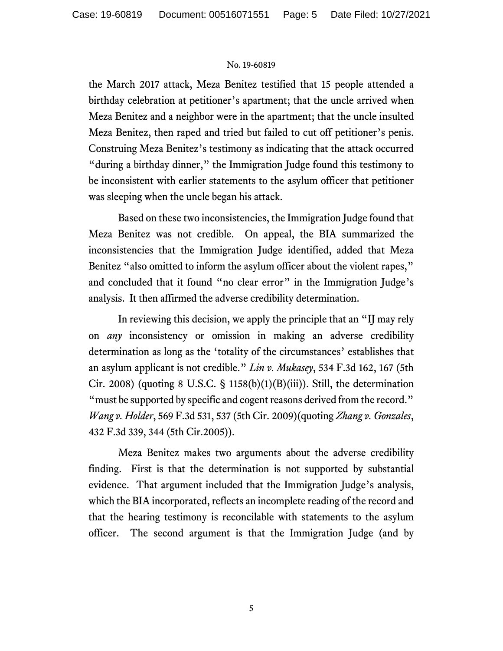the March 2017 attack, Meza Benitez testified that 15 people attended a birthday celebration at petitioner's apartment; that the uncle arrived when Meza Benitez and a neighbor were in the apartment; that the uncle insulted Meza Benitez, then raped and tried but failed to cut off petitioner's penis. Construing Meza Benitez's testimony as indicating that the attack occurred "during a birthday dinner," the Immigration Judge found this testimony to be inconsistent with earlier statements to the asylum officer that petitioner was sleeping when the uncle began his attack.

Based on these two inconsistencies, the Immigration Judge found that Meza Benitez was not credible. On appeal, the BIA summarized the inconsistencies that the Immigration Judge identified, added that Meza Benitez "also omitted to inform the asylum officer about the violent rapes," and concluded that it found "no clear error" in the Immigration Judge's analysis. It then affirmed the adverse credibility determination.

In reviewing this decision, we apply the principle that an "IJ may rely on *any* inconsistency or omission in making an adverse credibility determination as long as the 'totality of the circumstances' establishes that an asylum applicant is not credible." *Lin v. Mukasey*, 534 F.3d 162, 167 (5th Cir. 2008) (quoting 8 U.S.C. § 1158(b)(1)(B)(iii)). Still, the determination "must be supported by specific and cogent reasons derived from the record." *Wang v. Holder*, 569 F.3d 531, 537 (5th Cir. 2009)(quoting *Zhang v. Gonzales*, 432 F.3d 339, 344 (5th Cir.2005)).

Meza Benitez makes two arguments about the adverse credibility finding. First is that the determination is not supported by substantial evidence. That argument included that the Immigration Judge's analysis, which the BIA incorporated, reflects an incomplete reading of the record and that the hearing testimony is reconcilable with statements to the asylum officer. The second argument is that the Immigration Judge (and by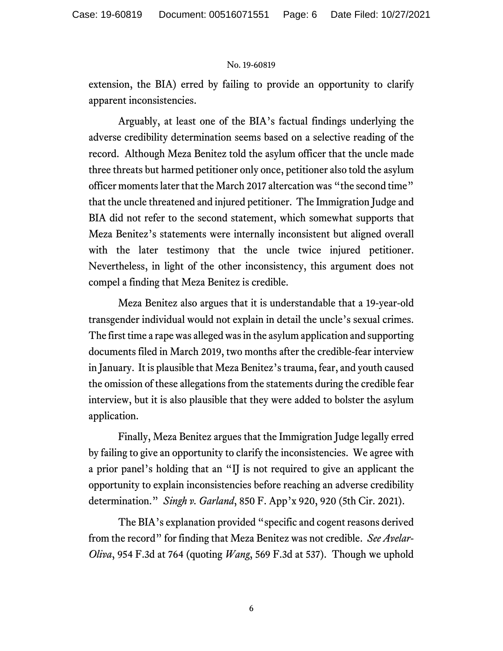extension, the BIA) erred by failing to provide an opportunity to clarify apparent inconsistencies.

Arguably, at least one of the BIA's factual findings underlying the adverse credibility determination seems based on a selective reading of the record. Although Meza Benitez told the asylum officer that the uncle made three threats but harmed petitioner only once, petitioner also told the asylum officer moments later that the March 2017 altercation was "the second time" that the uncle threatened and injured petitioner. The Immigration Judge and BIA did not refer to the second statement, which somewhat supports that Meza Benitez's statements were internally inconsistent but aligned overall with the later testimony that the uncle twice injured petitioner. Nevertheless, in light of the other inconsistency, this argument does not compel a finding that Meza Benitez is credible.

Meza Benitez also argues that it is understandable that a 19-year-old transgender individual would not explain in detail the uncle's sexual crimes. The first time a rape was alleged was in the asylum application and supporting documents filed in March 2019, two months after the credible-fear interview in January. It is plausible that Meza Benitez's trauma, fear, and youth caused the omission of these allegations from the statements during the credible fear interview, but it is also plausible that they were added to bolster the asylum application.

Finally, Meza Benitez argues that the Immigration Judge legally erred by failing to give an opportunity to clarify the inconsistencies. We agree with a prior panel's holding that an "IJ is not required to give an applicant the opportunity to explain inconsistencies before reaching an adverse credibility determination." *Singh v. Garland*, 850 F. App'x 920, 920 (5th Cir. 2021).

The BIA's explanation provided "specific and cogent reasons derived from the record" for finding that Meza Benitez was not credible. *See Avelar-Oliva*, 954 F.3d at 764 (quoting *Wang*, 569 F.3d at 537). Though we uphold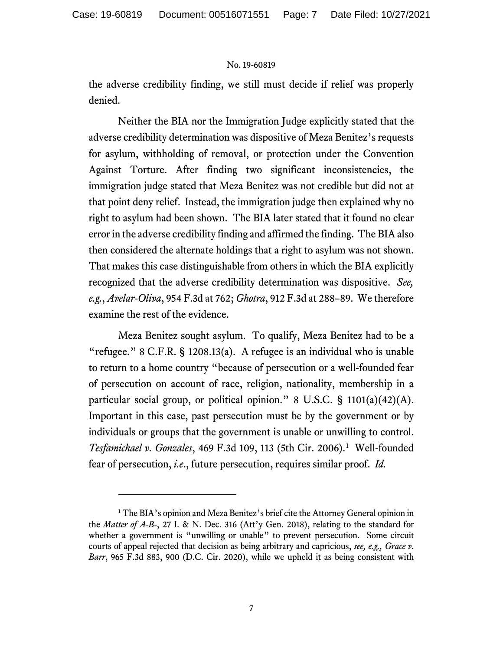the adverse credibility finding, we still must decide if relief was properly denied.

Neither the BIA nor the Immigration Judge explicitly stated that the adverse credibility determination was dispositive of Meza Benitez's requests for asylum, withholding of removal, or protection under the Convention Against Torture. After finding two significant inconsistencies, the immigration judge stated that Meza Benitez was not credible but did not at that point deny relief. Instead, the immigration judge then explained why no right to asylum had been shown. The BIA later stated that it found no clear error in the adverse credibility finding and affirmed the finding. The BIA also then considered the alternate holdings that a right to asylum was not shown. That makes this case distinguishable from others in which the BIA explicitly recognized that the adverse credibility determination was dispositive. *See, e.g.*, *Avelar-Oliva*, 954 F.3d at 762; *Ghotra*, 912 F.3d at 288–89. We therefore examine the rest of the evidence.

Meza Benitez sought asylum. To qualify, Meza Benitez had to be a "refugee." 8 C.F.R. § 1208.13(a). A refugee is an individual who is unable to return to a home country "because of persecution or a well-founded fear of persecution on account of race, religion, nationality, membership in a particular social group, or political opinion." 8 U.S.C. § 1101(a)(42)(A). Important in this case, past persecution must be by the government or by individuals or groups that the government is unable or unwilling to control. *Tesfamichael v. Gonzales*, 469 F.3d 109, 113 (5th Cir. 2006). [1](#page-6-0) Well-founded fear of persecution, *i.e*., future persecution, requires similar proof. *Id.*

<span id="page-6-0"></span><sup>&</sup>lt;sup>1</sup> The BIA's opinion and Meza Benitez's brief cite the Attorney General opinion in the *Matter of A-B*-, 27 I. & N. Dec. 316 (Att'y Gen. 2018), relating to the standard for whether a government is "unwilling or unable" to prevent persecution. Some circuit courts of appeal rejected that decision as being arbitrary and capricious, *see, e.g., Grace v. Barr*, 965 F.3d 883, 900 (D.C. Cir. 2020), while we upheld it as being consistent with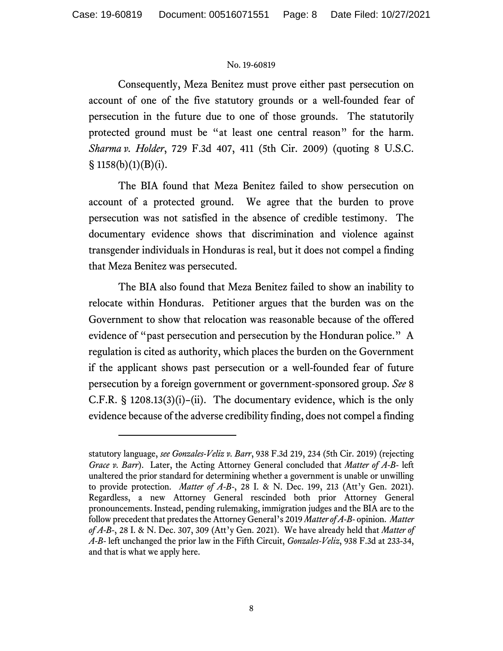Consequently, Meza Benitez must prove either past persecution on account of one of the five statutory grounds or a well-founded fear of persecution in the future due to one of those grounds. The statutorily protected ground must be "at least one central reason" for the harm. *Sharma v. Holder*, 729 F.3d 407, 411 (5th Cir. 2009) (quoting 8 U.S.C.  $§ 1158(b)(1)(B)(i).$ 

The BIA found that Meza Benitez failed to show persecution on account of a protected ground. We agree that the burden to prove persecution was not satisfied in the absence of credible testimony. The documentary evidence shows that discrimination and violence against transgender individuals in Honduras is real, but it does not compel a finding that Meza Benitez was persecuted.

The BIA also found that Meza Benitez failed to show an inability to relocate within Honduras. Petitioner argues that the burden was on the Government to show that relocation was reasonable because of the offered evidence of "past persecution and persecution by the Honduran police." A regulation is cited as authority, which places the burden on the Government if the applicant shows past persecution or a well-founded fear of future persecution by a foreign government or government-sponsored group. *See* 8 C.F.R. § 1208.13(3)(i)–(ii). The documentary evidence, which is the only evidence because of the adverse credibility finding, does not compel a finding

statutory language, *see Gonzales-Veliz v. Barr*, 938 F.3d 219, 234 (5th Cir. 2019) (rejecting *Grace v. Barr*). Later, the Acting Attorney General concluded that *Matter of A-B-* left unaltered the prior standard for determining whether a government is unable or unwilling to provide protection. *Matter of A-B-*, 28 I. & N. Dec. 199, 213 (Att'y Gen. 2021). Regardless, a new Attorney General rescinded both prior Attorney General pronouncements. Instead, pending rulemaking, immigration judges and the BIA are to the follow precedent that predates the Attorney General's 2019 *Matter of A-B-* opinion. *Matter of A-B*-, 28 I. & N. Dec. 307, 309 (Att'y Gen. 2021). We have already held that *Matter of A-B-* left unchanged the prior law in the Fifth Circuit, *Gonzales-Veliz*, 938 F.3d at 233-34, and that is what we apply here.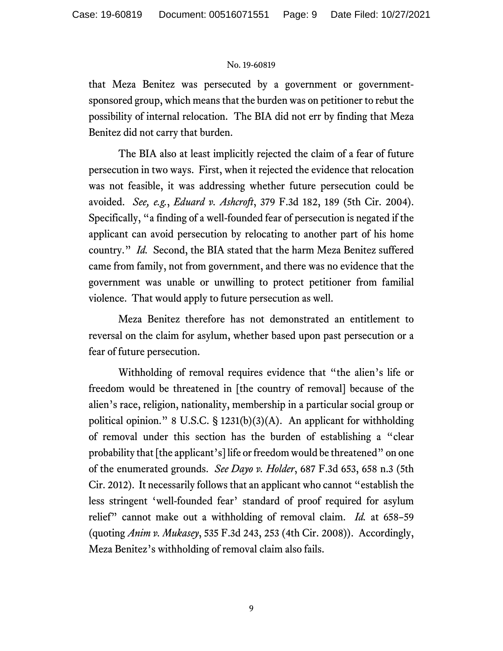that Meza Benitez was persecuted by a government or governmentsponsored group, which means that the burden was on petitioner to rebut the possibility of internal relocation. The BIA did not err by finding that Meza Benitez did not carry that burden.

The BIA also at least implicitly rejected the claim of a fear of future persecution in two ways. First, when it rejected the evidence that relocation was not feasible, it was addressing whether future persecution could be avoided. *See, e.g.*, *Eduard v. Ashcroft*, 379 F.3d 182, 189 (5th Cir. 2004). Specifically, "a finding of a well-founded fear of persecution is negated if the applicant can avoid persecution by relocating to another part of his home country." *Id.* Second, the BIA stated that the harm Meza Benitez suffered came from family, not from government, and there was no evidence that the government was unable or unwilling to protect petitioner from familial violence. That would apply to future persecution as well.

Meza Benitez therefore has not demonstrated an entitlement to reversal on the claim for asylum, whether based upon past persecution or a fear of future persecution.

Withholding of removal requires evidence that "the alien's life or freedom would be threatened in [the country of removal] because of the alien's race, religion, nationality, membership in a particular social group or political opinion." 8 U.S.C. § 1231(b)(3)(A). An applicant for withholding of removal under this section has the burden of establishing a "clear probability that [the applicant's] life or freedom would be threatened" on one of the enumerated grounds. *See Dayo v. Holder*, 687 F.3d 653, 658 n.3 (5th Cir. 2012). It necessarily follows that an applicant who cannot "establish the less stringent 'well-founded fear' standard of proof required for asylum relief" cannot make out a withholding of removal claim. *Id.* at 658–59 (quoting *Anim v. Mukasey*, 535 F.3d 243, 253 (4th Cir. 2008)). Accordingly, Meza Benitez's withholding of removal claim also fails.